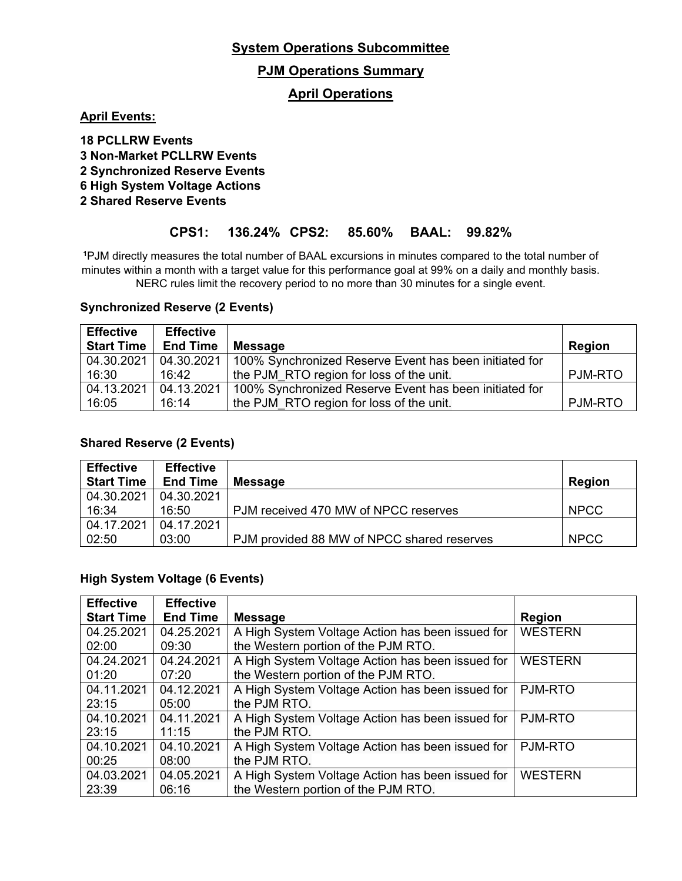### **PJM Operations Summary**

### **April Operations**

**April Events:**

 **PCLLRW Events Non-Market PCLLRW Events Synchronized Reserve Events High System Voltage Actions 2 Shared Reserve Events**

### **CPS1: 136.24% CPS2: 85.60% BAAL: 99.82%**

**<sup>1</sup>**PJM directly measures the total number of BAAL excursions in minutes compared to the total number of minutes within a month with a target value for this performance goal at 99% on a daily and monthly basis. NERC rules limit the recovery period to no more than 30 minutes for a single event.

#### **Synchronized Reserve (2 Events)**

| <b>Effective</b>  | <b>Effective</b> |                                                        |                |
|-------------------|------------------|--------------------------------------------------------|----------------|
| <b>Start Time</b> | <b>End Time</b>  | <b>Message</b>                                         | <b>Region</b>  |
| 04.30.2021        | 04.30.2021       | 100% Synchronized Reserve Event has been initiated for |                |
| 16:30             | 16:42            | the PJM RTO region for loss of the unit.               | <b>PJM-RTO</b> |
| 04.13.2021        | 04.13.2021       | 100% Synchronized Reserve Event has been initiated for |                |
| 16:05             | 16:14            | the PJM RTO region for loss of the unit.               | <b>PJM-RTO</b> |

#### **Shared Reserve (2 Events)**

| <b>Effective</b>  | <b>Effective</b> |                                            |               |
|-------------------|------------------|--------------------------------------------|---------------|
| <b>Start Time</b> | <b>End Time</b>  | <b>Message</b>                             | <b>Region</b> |
| 04.30.2021        | 04.30.2021       |                                            |               |
| 16:34             | 16:50            | PJM received 470 MW of NPCC reserves       | <b>NPCC</b>   |
| 04.17.2021        | 04.17.2021       |                                            |               |
| 02:50             | 03:00            | PJM provided 88 MW of NPCC shared reserves | <b>NPCC</b>   |

#### **High System Voltage (6 Events)**

| <b>Effective</b>  | <b>Effective</b> |                                                  |                |
|-------------------|------------------|--------------------------------------------------|----------------|
| <b>Start Time</b> | <b>End Time</b>  | <b>Message</b>                                   | <b>Region</b>  |
| 04.25.2021        | 04.25.2021       | A High System Voltage Action has been issued for | <b>WESTERN</b> |
| 02:00             | 09:30            | the Western portion of the PJM RTO.              |                |
| 04.24.2021        | 04.24.2021       | A High System Voltage Action has been issued for | <b>WESTERN</b> |
| 01:20             | 07:20            | the Western portion of the PJM RTO.              |                |
| 04.11.2021        | 04.12.2021       | A High System Voltage Action has been issued for | PJM-RTO        |
| 23:15             | 05:00            | the PJM RTO.                                     |                |
| 04.10.2021        | 04.11.2021       | A High System Voltage Action has been issued for | <b>PJM-RTO</b> |
| 23:15             | 11:15            | the PJM RTO.                                     |                |
| 04.10.2021        | 04.10.2021       | A High System Voltage Action has been issued for | <b>PJM-RTO</b> |
| 00:25             | 08:00            | the PJM RTO.                                     |                |
| 04.03.2021        | 04.05.2021       | A High System Voltage Action has been issued for | <b>WESTERN</b> |
| 23:39             | 06:16            | the Western portion of the PJM RTO.              |                |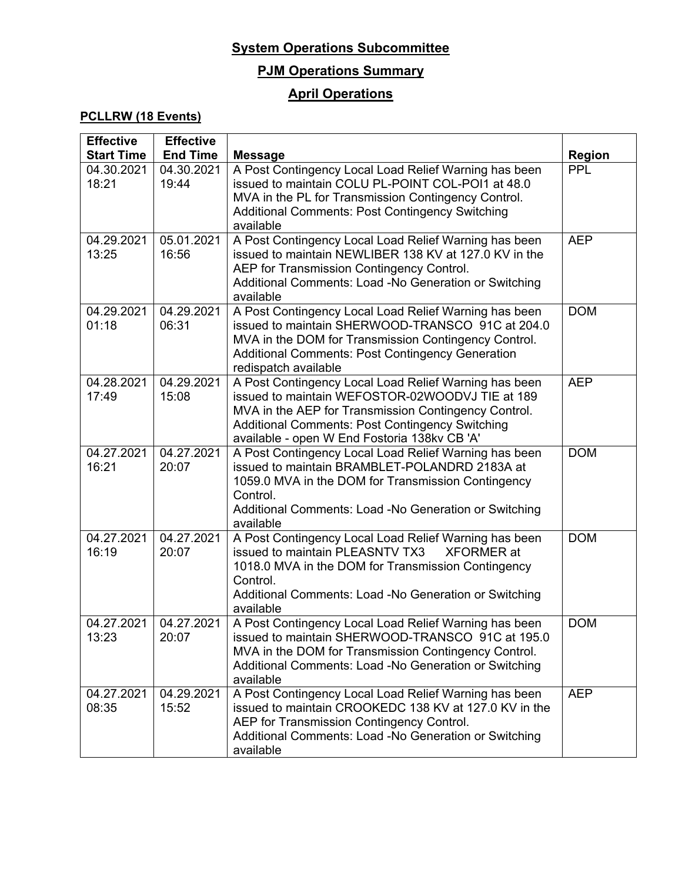# **PJM Operations Summary**

## **April Operations**

### **PCLLRW (18 Events)**

| <b>Effective</b>    | <b>Effective</b>    |                                                                                                                                                                                                                                                                            |               |
|---------------------|---------------------|----------------------------------------------------------------------------------------------------------------------------------------------------------------------------------------------------------------------------------------------------------------------------|---------------|
| <b>Start Time</b>   | <b>End Time</b>     | <b>Message</b>                                                                                                                                                                                                                                                             | <b>Region</b> |
| 04.30.2021<br>18:21 | 04.30.2021<br>19:44 | A Post Contingency Local Load Relief Warning has been<br>issued to maintain COLU PL-POINT COL-POI1 at 48.0<br>MVA in the PL for Transmission Contingency Control.<br>Additional Comments: Post Contingency Switching<br>available                                          | <b>PPL</b>    |
| 04.29.2021<br>13:25 | 05.01.2021<br>16:56 | A Post Contingency Local Load Relief Warning has been<br>issued to maintain NEWLIBER 138 KV at 127.0 KV in the<br>AEP for Transmission Contingency Control.<br>Additional Comments: Load -No Generation or Switching<br>available                                          | <b>AEP</b>    |
| 04.29.2021<br>01:18 | 04.29.2021<br>06:31 | A Post Contingency Local Load Relief Warning has been<br>issued to maintain SHERWOOD-TRANSCO 91C at 204.0<br>MVA in the DOM for Transmission Contingency Control.<br><b>Additional Comments: Post Contingency Generation</b><br>redispatch available                       | <b>DOM</b>    |
| 04.28.2021<br>17:49 | 04.29.2021<br>15:08 | A Post Contingency Local Load Relief Warning has been<br>issued to maintain WEFOSTOR-02WOODVJ TIE at 189<br>MVA in the AEP for Transmission Contingency Control.<br><b>Additional Comments: Post Contingency Switching</b><br>available - open W End Fostoria 138kv CB 'A' | <b>AEP</b>    |
| 04.27.2021<br>16:21 | 04.27.2021<br>20:07 | A Post Contingency Local Load Relief Warning has been<br>issued to maintain BRAMBLET-POLANDRD 2183A at<br>1059.0 MVA in the DOM for Transmission Contingency<br>Control.<br>Additional Comments: Load -No Generation or Switching<br>available                             | <b>DOM</b>    |
| 04.27.2021<br>16:19 | 04.27.2021<br>20:07 | A Post Contingency Local Load Relief Warning has been<br>issued to maintain PLEASNTV TX3<br><b>XFORMER</b> at<br>1018.0 MVA in the DOM for Transmission Contingency<br>Control.<br>Additional Comments: Load -No Generation or Switching<br>available                      | <b>DOM</b>    |
| 04.27.2021<br>13:23 | 04.27.2021<br>20:07 | A Post Contingency Local Load Relief Warning has been<br>issued to maintain SHERWOOD-TRANSCO 91C at 195.0<br>MVA in the DOM for Transmission Contingency Control.<br>Additional Comments: Load -No Generation or Switching<br>available                                    | <b>DOM</b>    |
| 04.27.2021<br>08:35 | 04.29.2021<br>15:52 | A Post Contingency Local Load Relief Warning has been<br>issued to maintain CROOKEDC 138 KV at 127.0 KV in the<br>AEP for Transmission Contingency Control.<br>Additional Comments: Load -No Generation or Switching<br>available                                          | <b>AEP</b>    |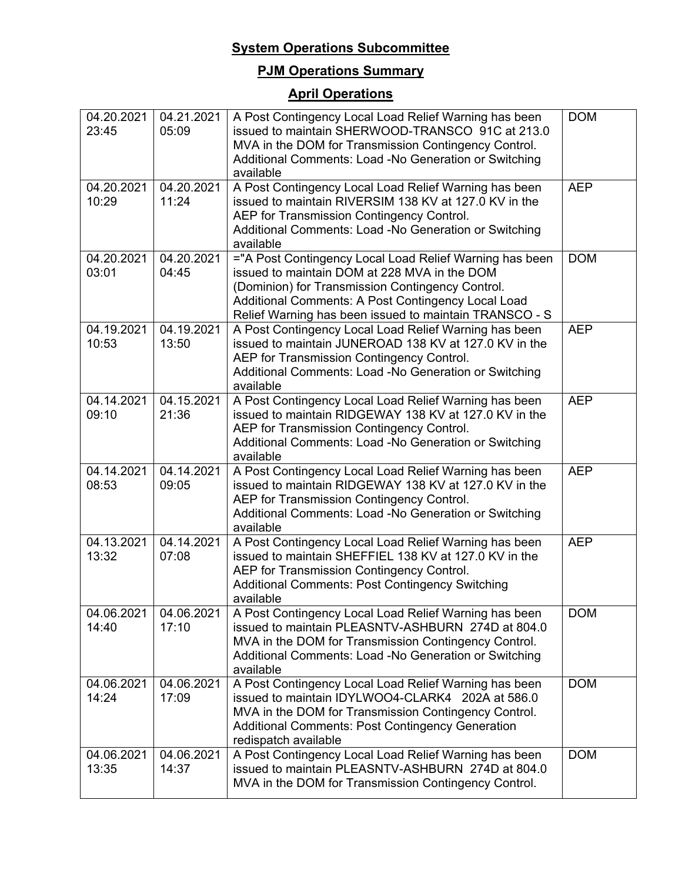# **PJM Operations Summary**

# **April Operations**

| 04.20.2021<br>23:45 | 04.21.2021<br>05:09 | A Post Contingency Local Load Relief Warning has been<br>issued to maintain SHERWOOD-TRANSCO 91C at 213.0<br>MVA in the DOM for Transmission Contingency Control.<br>Additional Comments: Load -No Generation or Switching<br>available                                     | <b>DOM</b> |
|---------------------|---------------------|-----------------------------------------------------------------------------------------------------------------------------------------------------------------------------------------------------------------------------------------------------------------------------|------------|
| 04.20.2021<br>10:29 | 04.20.2021<br>11:24 | A Post Contingency Local Load Relief Warning has been<br>issued to maintain RIVERSIM 138 KV at 127.0 KV in the<br>AEP for Transmission Contingency Control.<br>Additional Comments: Load -No Generation or Switching<br>available                                           | <b>AEP</b> |
| 04.20.2021<br>03:01 | 04.20.2021<br>04:45 | ="A Post Contingency Local Load Relief Warning has been<br>issued to maintain DOM at 228 MVA in the DOM<br>(Dominion) for Transmission Contingency Control.<br>Additional Comments: A Post Contingency Local Load<br>Relief Warning has been issued to maintain TRANSCO - S | <b>DOM</b> |
| 04.19.2021<br>10:53 | 04.19.2021<br>13:50 | A Post Contingency Local Load Relief Warning has been<br>issued to maintain JUNEROAD 138 KV at 127.0 KV in the<br>AEP for Transmission Contingency Control.<br>Additional Comments: Load -No Generation or Switching<br>available                                           | <b>AEP</b> |
| 04.14.2021<br>09:10 | 04.15.2021<br>21:36 | A Post Contingency Local Load Relief Warning has been<br>issued to maintain RIDGEWAY 138 KV at 127.0 KV in the<br>AEP for Transmission Contingency Control.<br>Additional Comments: Load -No Generation or Switching<br>available                                           | <b>AEP</b> |
| 04.14.2021<br>08:53 | 04.14.2021<br>09:05 | A Post Contingency Local Load Relief Warning has been<br>issued to maintain RIDGEWAY 138 KV at 127.0 KV in the<br>AEP for Transmission Contingency Control.<br>Additional Comments: Load -No Generation or Switching<br>available                                           | <b>AEP</b> |
| 04.13.2021<br>13:32 | 04.14.2021<br>07:08 | A Post Contingency Local Load Relief Warning has been<br>issued to maintain SHEFFIEL 138 KV at 127.0 KV in the<br>AEP for Transmission Contingency Control.<br><b>Additional Comments: Post Contingency Switching</b><br>available                                          | <b>AEP</b> |
| 04.06.2021<br>14:40 | 04.06.2021<br>17:10 | A Post Contingency Local Load Relief Warning has been<br>issued to maintain PLEASNTV-ASHBURN 274D at 804.0<br>MVA in the DOM for Transmission Contingency Control.<br>Additional Comments: Load -No Generation or Switching<br>available                                    | <b>DOM</b> |
| 04.06.2021<br>14:24 | 04.06.2021<br>17:09 | A Post Contingency Local Load Relief Warning has been<br>issued to maintain IDYLWOO4-CLARK4 202A at 586.0<br>MVA in the DOM for Transmission Contingency Control.<br><b>Additional Comments: Post Contingency Generation</b><br>redispatch available                        | <b>DOM</b> |
| 04.06.2021<br>13:35 | 04.06.2021<br>14:37 | A Post Contingency Local Load Relief Warning has been<br>issued to maintain PLEASNTV-ASHBURN 274D at 804.0<br>MVA in the DOM for Transmission Contingency Control.                                                                                                          | <b>DOM</b> |